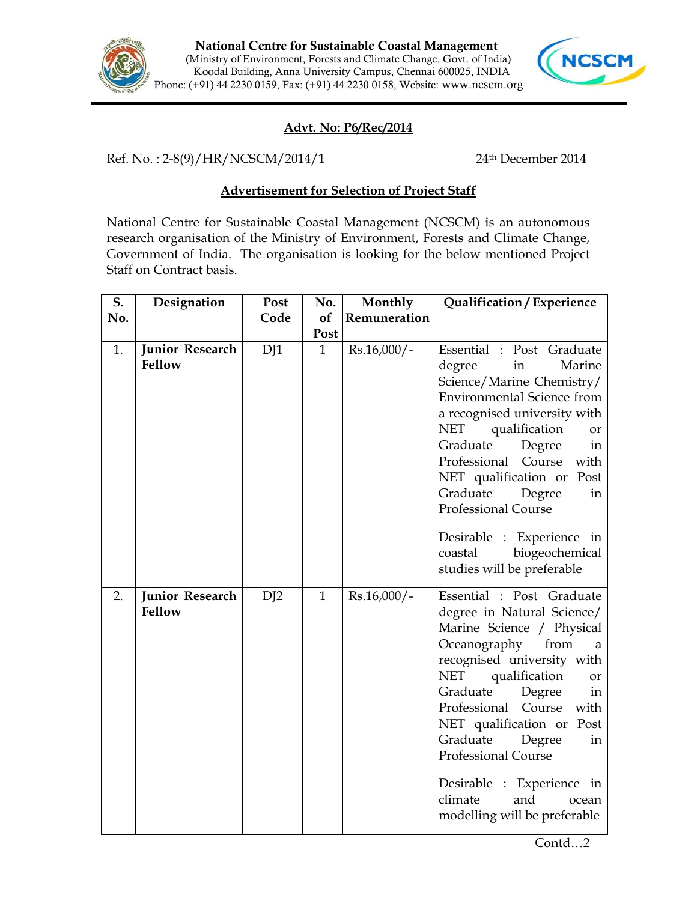



## **Advt. No: P6/Rec/2014**

Ref. No.: 2-8(9)/HR/NCSCM/2014/1 24<sup>th</sup> December 2014

## **Advertisement for Selection of Project Staff**

National Centre for Sustainable Coastal Management (NCSCM) is an autonomous research organisation of the Ministry of Environment, Forests and Climate Change, Government of India. The organisation is looking for the below mentioned Project Staff on Contract basis.

| S.  | Designation                      | Post | No.          | Monthly       | Qualification / Experience                                                                                                                                                                                                                                                                                                                                                                                                                                  |
|-----|----------------------------------|------|--------------|---------------|-------------------------------------------------------------------------------------------------------------------------------------------------------------------------------------------------------------------------------------------------------------------------------------------------------------------------------------------------------------------------------------------------------------------------------------------------------------|
| No. |                                  | Code | of           | Remuneration  |                                                                                                                                                                                                                                                                                                                                                                                                                                                             |
|     |                                  |      | Post         |               |                                                                                                                                                                                                                                                                                                                                                                                                                                                             |
| 1.  | <b>Junior Research</b><br>Fellow | DJ1  | $\mathbf{1}$ | Rs.16,000/-   | Essential : Post Graduate<br>in<br>degree<br>Marine<br>Science/Marine Chemistry/<br><b>Environmental Science from</b><br>a recognised university with<br><b>NET</b><br>qualification<br>or<br>Graduate<br>Degree<br>in<br>Professional Course<br>with<br>NET qualification or Post<br>Graduate<br>Degree<br>in<br><b>Professional Course</b><br>Desirable : Experience in<br>coastal<br>biogeochemical                                                      |
| 2.  | Junior Research<br>Fellow        | DI2  | $\mathbf{1}$ | $Rs.16,000/-$ | studies will be preferable<br>Essential : Post Graduate<br>degree in Natural Science/<br>Marine Science / Physical<br>Oceanography<br>from<br>a<br>recognised university with<br>qualification<br><b>NET</b><br>or<br>Graduate<br>Degree<br>in<br>Professional<br>Course<br>with<br>NET qualification or<br>Post<br>Graduate<br>Degree<br>in<br>Professional Course<br>Desirable : Experience in<br>climate<br>and<br>ocean<br>modelling will be preferable |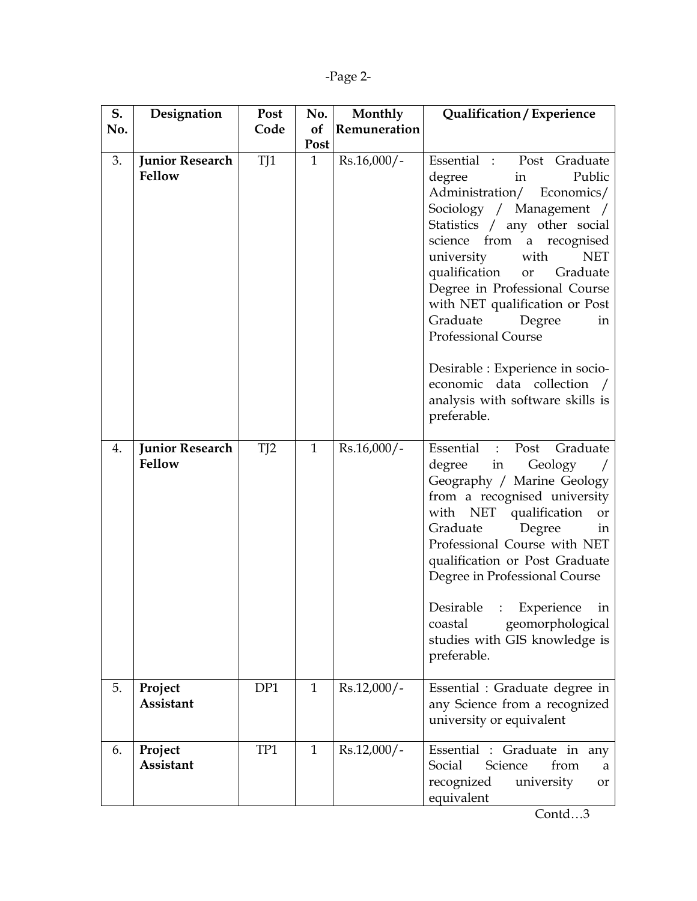|--|--|

| S.  | Designation                      | Post | No.          | Monthly       | Qualification / Experience                                                                                                                                                                                                                                                                                                                                                                                                                                                                     |
|-----|----------------------------------|------|--------------|---------------|------------------------------------------------------------------------------------------------------------------------------------------------------------------------------------------------------------------------------------------------------------------------------------------------------------------------------------------------------------------------------------------------------------------------------------------------------------------------------------------------|
| No. |                                  | Code | of           | Remuneration  |                                                                                                                                                                                                                                                                                                                                                                                                                                                                                                |
|     |                                  |      | Post         |               |                                                                                                                                                                                                                                                                                                                                                                                                                                                                                                |
| 3.  | <b>Junior Research</b><br>Fellow | TJ1  | $\mathbf{1}$ | $Rs.16,000/-$ | Essential : Post Graduate<br>in<br>Public<br>degree<br>Administration/ Economics/<br>Sociology / Management /<br>Statistics / any other social<br>science from a recognised<br>university<br>with<br><b>NET</b><br>qualification<br>or Graduate<br>Degree in Professional Course<br>with NET qualification or Post<br>Graduate Degree<br>in<br><b>Professional Course</b><br>Desirable : Experience in socio-<br>economic data collection /<br>analysis with software skills is<br>preferable. |
| 4.  | <b>Junior Research</b><br>Fellow | TI2  | $\mathbf{1}$ | $Rs.16,000/-$ | Essential : Post<br>Graduate<br>degree in<br>Geology<br>Geography / Marine Geology<br>from a recognised university<br>with NET qualification<br>or<br>Graduate<br>Degree<br>in<br>Professional Course with NET<br>qualification or Post Graduate<br>Degree in Professional Course<br>Desirable : Experience<br>in<br>geomorphological<br>coastal<br>studies with GIS knowledge is<br>preferable.                                                                                               |
| 5.  | Project<br>Assistant             | DP1  | $\mathbf{1}$ | $Rs.12,000/-$ | Essential : Graduate degree in<br>any Science from a recognized<br>university or equivalent                                                                                                                                                                                                                                                                                                                                                                                                    |
| 6.  | Project<br>Assistant             | TP1  | $\mathbf{1}$ | $Rs.12,000/-$ | Essential : Graduate in any<br>Social<br>Science<br>from<br>a<br>recognized<br>university<br>or<br>equivalent                                                                                                                                                                                                                                                                                                                                                                                  |

Contd…3